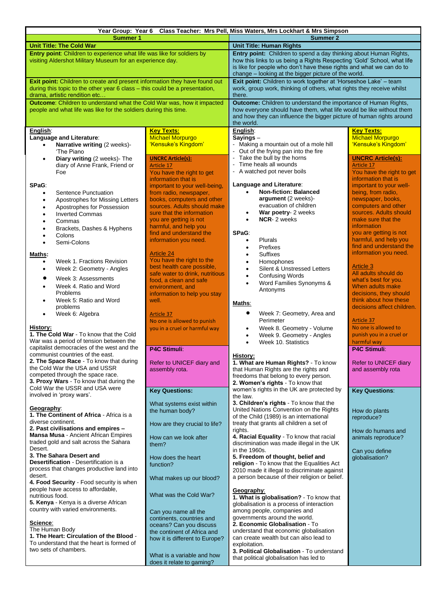| Year Group: Year 6 Class Teacher: Mrs Pell, Miss Waters, Mrs Lockhart & Mrs Simpson                                                                                                                                                                                                                                                                                                                                                                                                                                                                                          |                                                                                                                                                                                                                                                                                                                                                                                                                                                                                                                |                                                                                                                                                                                                                                                                                                                                                                                                                                                                                                                                                                                                                                      |                                                                                                                                                                                                                                                                                                                                                                                                                                                                 |  |  |
|------------------------------------------------------------------------------------------------------------------------------------------------------------------------------------------------------------------------------------------------------------------------------------------------------------------------------------------------------------------------------------------------------------------------------------------------------------------------------------------------------------------------------------------------------------------------------|----------------------------------------------------------------------------------------------------------------------------------------------------------------------------------------------------------------------------------------------------------------------------------------------------------------------------------------------------------------------------------------------------------------------------------------------------------------------------------------------------------------|--------------------------------------------------------------------------------------------------------------------------------------------------------------------------------------------------------------------------------------------------------------------------------------------------------------------------------------------------------------------------------------------------------------------------------------------------------------------------------------------------------------------------------------------------------------------------------------------------------------------------------------|-----------------------------------------------------------------------------------------------------------------------------------------------------------------------------------------------------------------------------------------------------------------------------------------------------------------------------------------------------------------------------------------------------------------------------------------------------------------|--|--|
| <b>Summer 1</b>                                                                                                                                                                                                                                                                                                                                                                                                                                                                                                                                                              |                                                                                                                                                                                                                                                                                                                                                                                                                                                                                                                | Summer 2                                                                                                                                                                                                                                                                                                                                                                                                                                                                                                                                                                                                                             |                                                                                                                                                                                                                                                                                                                                                                                                                                                                 |  |  |
| <b>Unit Title: The Cold War</b>                                                                                                                                                                                                                                                                                                                                                                                                                                                                                                                                              |                                                                                                                                                                                                                                                                                                                                                                                                                                                                                                                | <b>Unit Title: Human Rights</b>                                                                                                                                                                                                                                                                                                                                                                                                                                                                                                                                                                                                      |                                                                                                                                                                                                                                                                                                                                                                                                                                                                 |  |  |
| Entry point: Children to experience what life was like for soldiers by<br>visiting Aldershot Military Museum for an experience day.                                                                                                                                                                                                                                                                                                                                                                                                                                          |                                                                                                                                                                                                                                                                                                                                                                                                                                                                                                                | Entry point: Children to spend a day thinking about Human Rights,<br>how this links to us being a Rights Respecting 'Gold' School, what life<br>is like for people who don't have these rights and what we can do to<br>change - looking at the bigger picture of the world.                                                                                                                                                                                                                                                                                                                                                         |                                                                                                                                                                                                                                                                                                                                                                                                                                                                 |  |  |
| Exit point: Children to create and present information they have found out<br>during this topic to the other year 6 class - this could be a presentation,<br>drama, artistic rendition etc                                                                                                                                                                                                                                                                                                                                                                                   |                                                                                                                                                                                                                                                                                                                                                                                                                                                                                                                | Exit point: Children to work together at 'Horseshoe Lake' - team<br>work, group work, thinking of others, what rights they receive whilst<br>there.                                                                                                                                                                                                                                                                                                                                                                                                                                                                                  |                                                                                                                                                                                                                                                                                                                                                                                                                                                                 |  |  |
| Outcome: Children to understand what the Cold War was, how it impacted<br>people and what life was like for the soldiers during this time.                                                                                                                                                                                                                                                                                                                                                                                                                                   |                                                                                                                                                                                                                                                                                                                                                                                                                                                                                                                | <b>Outcome:</b> Children to understand the importance of Human Rights,<br>how everyone should have them, what life would be like without them<br>and how they can influence the bigger picture of human rights around                                                                                                                                                                                                                                                                                                                                                                                                                |                                                                                                                                                                                                                                                                                                                                                                                                                                                                 |  |  |
|                                                                                                                                                                                                                                                                                                                                                                                                                                                                                                                                                                              |                                                                                                                                                                                                                                                                                                                                                                                                                                                                                                                | the world.                                                                                                                                                                                                                                                                                                                                                                                                                                                                                                                                                                                                                           |                                                                                                                                                                                                                                                                                                                                                                                                                                                                 |  |  |
| English:<br>Language and Literature:<br>Narrative writing (2 weeks)-<br>'The Piano                                                                                                                                                                                                                                                                                                                                                                                                                                                                                           | <b>Key Texts:</b><br><b>Michael Morpurgo</b><br>'Kensuke's Kingdom'                                                                                                                                                                                                                                                                                                                                                                                                                                            | English:<br>Sayings-<br>Making a mountain out of a mole hill<br>Out of the frying pan into the fire<br>$\blacksquare$                                                                                                                                                                                                                                                                                                                                                                                                                                                                                                                | <b>Key Texts:</b><br><b>Michael Morpurgo</b><br>'Kensuke's Kingdom'                                                                                                                                                                                                                                                                                                                                                                                             |  |  |
| Diary writing (2 weeks)- The<br>$\bullet$<br>diary of Anne Frank, Friend or<br>Foe                                                                                                                                                                                                                                                                                                                                                                                                                                                                                           | <b>UNCRC Article(s):</b><br>Article 17<br>You have the right to get                                                                                                                                                                                                                                                                                                                                                                                                                                            | Take the bull by the horns<br>Time heals all wounds<br>$\blacksquare$<br>A watched pot never boils                                                                                                                                                                                                                                                                                                                                                                                                                                                                                                                                   | <b>UNCRC Article(s):</b><br>Article 17<br>You have the right to get                                                                                                                                                                                                                                                                                                                                                                                             |  |  |
| SPaG:<br>Sentence Punctuation<br>$\bullet$<br>Apostrophes for Missing Letters<br>$\bullet$<br>Apostrophes for Possession<br>$\bullet$<br><b>Inverted Commas</b><br>$\bullet$<br>Commas<br>$\bullet$<br>Brackets, Dashes & Hyphens<br>Colons<br>$\bullet$<br>Semi-Colons<br>$\bullet$<br>Maths:<br>Week 1. Fractions Revision<br>$\bullet$<br>Week 2: Geometry - Angles<br>$\bullet$<br>$\bullet$<br>Week 3: Assessments<br>Week 4. Ratio and Word<br>$\bullet$<br><b>Problems</b><br>Week 5: Ratio and Word<br>$\bullet$<br>problems<br>Week 6: Algebra<br>$\bullet$         | information that is<br>important to your well-being,<br>from radio, newspaper,<br>books, computers and other<br>sources. Adults should make<br>sure that the information<br>you are getting is not<br>harmful, and help you<br>find and understand the<br>information you need.<br><b>Article 24</b><br>You have the right to the<br>best health care possible,<br>safe water to drink, nutritious<br>food, a clean and safe<br>environment, and<br>information to help you stay<br>well.<br><b>Article 37</b> | Language and Literature:<br><b>Non-fiction: Balanced</b><br>$\bullet$<br>argument (2 weeks)-<br>evacuation of children<br>War poetry- 2 weeks<br>$\bullet$<br>NCR-2 weeks<br>$\bullet$<br>SPaG:<br><b>Plurals</b><br>$\bullet$<br>Prefixes<br>$\bullet$<br>Suffixes<br>$\bullet$<br>Homophones<br>$\bullet$<br>Silent & Unstressed Letters<br>$\bullet$<br><b>Confusing Words</b><br>$\bullet$<br>Word Families Synonyms &<br>$\bullet$<br>Antonyms<br>Maths:<br>$\bullet$<br>Week 7: Geometry, Area and                                                                                                                             | information that is<br>important to your well-<br>being, from radio,<br>newspaper, books,<br>computers and other<br>sources. Adults should<br>make sure that the<br>information<br>you are getting is not<br>harmful, and help you<br>find and understand the<br>information you need.<br><b>Article 3</b><br>All adults should do<br>what's best for you.<br>When adults make<br>decisions, they should<br>think about how these<br>decisions affect children. |  |  |
| History:<br>1. The Cold War - To know that the Cold<br>War was a period of tension between the<br>capitalist democracies of the west and the<br>communist countries of the east.<br><b>2. The Space Race</b> - To know that during<br>the Cold War the USA and USSR                                                                                                                                                                                                                                                                                                          | No one is allowed to punish<br>you in a cruel or harmful way<br>P4C Stimuli:<br>Refer to UNICEF diary and<br>assembly rota.                                                                                                                                                                                                                                                                                                                                                                                    | Perimeter<br>Week 8. Geometry - Volume<br>$\bullet$<br>Week 9. Geometry - Angles<br>$\bullet$<br>Week 10. Statistics<br>$\bullet$<br><b>History:</b><br>1. What are Human Rights? - To know<br>that Human Rights are the rights and                                                                                                                                                                                                                                                                                                                                                                                                  | Article 37<br>No one is allowed to<br>punish you in a cruel or<br>harmful way<br><b>P4C Stimuli:</b><br>Refer to UNICEF diary<br>and assembly rota                                                                                                                                                                                                                                                                                                              |  |  |
| competed through the space race.                                                                                                                                                                                                                                                                                                                                                                                                                                                                                                                                             |                                                                                                                                                                                                                                                                                                                                                                                                                                                                                                                | freedoms that belong to every person.                                                                                                                                                                                                                                                                                                                                                                                                                                                                                                                                                                                                |                                                                                                                                                                                                                                                                                                                                                                                                                                                                 |  |  |
| <b>3. Proxy Wars</b> - To know that during the                                                                                                                                                                                                                                                                                                                                                                                                                                                                                                                               |                                                                                                                                                                                                                                                                                                                                                                                                                                                                                                                | 2. Women's rights - To know that                                                                                                                                                                                                                                                                                                                                                                                                                                                                                                                                                                                                     |                                                                                                                                                                                                                                                                                                                                                                                                                                                                 |  |  |
| Cold War the USSR and USA were                                                                                                                                                                                                                                                                                                                                                                                                                                                                                                                                               | <b>Key Questions:</b>                                                                                                                                                                                                                                                                                                                                                                                                                                                                                          | women's rights in the UK are protected by                                                                                                                                                                                                                                                                                                                                                                                                                                                                                                                                                                                            | <b>Key Questions:</b>                                                                                                                                                                                                                                                                                                                                                                                                                                           |  |  |
| involved in 'proxy wars'.<br>Geography:<br>1. The Continent of Africa - Africa is a<br>diverse continent.<br>2. Past civilisations and empires -<br><b>Mansa Musa - Ancient African Empires</b><br>traded gold and salt across the Sahara<br>Desert.<br>3. The Sahara Desert and<br><b>Desertification</b> - Desertification is a<br>process that changes productive land into<br>desert.<br>4. Food Security - Food security is when<br>people have access to affordable,<br>nutritious food.<br>5. Kenya - Kenya is a diverse African<br>country with varied environments. | What systems exist within<br>the human body?<br>How are they crucial to life?<br>How can we look after<br>them?<br>How does the heart<br>function?<br>What makes up our blood?<br>What was the Cold War?<br>Can you name all the                                                                                                                                                                                                                                                                               | the law.<br>3. Children's rights - To know that the<br>United Nations Convention on the Rights<br>of the Child (1989) is an international<br>treaty that grants all children a set of<br>rights.<br>4. Racial Equality - To know that racial<br>discrimination was made illegal in the UK<br>in the 1960s.<br>5. Freedom of thought, belief and<br>religion - To know that the Equalities Act<br>2010 made it illegal to discriminate against<br>a person because of their religion or belief.<br>Geography:<br>1. What is globalisation? - To know that<br>globalisation is a process of interaction<br>among people, companies and | How do plants<br>reproduce?<br>How do humans and<br>animals reproduce?<br>Can you define<br>qlobalisation?                                                                                                                                                                                                                                                                                                                                                      |  |  |
| Science:<br>The Human Body<br>1. The Heart: Circulation of the Blood -<br>To understand that the heart is formed of<br>two sets of chambers.                                                                                                                                                                                                                                                                                                                                                                                                                                 | continents, countries and<br>oceans? Can you discuss<br>the continent of Africa and<br>how it is different to Europe?<br>What is a variable and how<br>does it relate to gaming?                                                                                                                                                                                                                                                                                                                               | governments around the world.<br>2. Economic Globalisation - To<br>understand that economic globalisation<br>can create wealth but can also lead to<br>exploitation.<br>3. Political Globalisation - To understand<br>that political globalisation has led to                                                                                                                                                                                                                                                                                                                                                                        |                                                                                                                                                                                                                                                                                                                                                                                                                                                                 |  |  |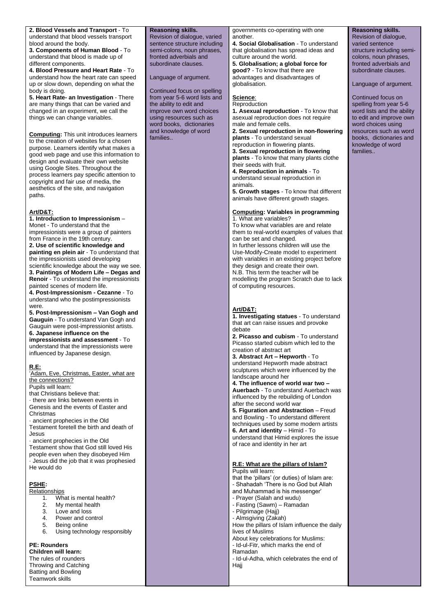**2. Blood Vessels and Transport** - To understand that blood vessels transport blood around the body.

**3. Components of Human Blood** - To understand that blood is made up of different components.

**4. Blood Pressure and Heart Rate** - To understand how the heart rate can speed up or slow down, depending on what the body is doing.

**5. Heart Rate- an Investigation** - There are many things that can be varied and changed in an experiment, we call the things we can change variables.

**Computing:** This unit introduces learners to the creation of websites for a chosen purpose. Learners identify what makes a good web page and use this information to design and evaluate their own website using Google Sites. Throughout the process learners pay specific attention to copyright and fair use of media, the aesthetics of the site, and navigation paths.

# **Art/D&T:**

**1. Introduction to Impressionism** – Monet - To understand that the impressionists were a group of painters from France in the 19th century. **2. Use of scientific knowledge and painting en plein air** - To understand that the impressionists used developing scientific knowledge about the way we see. **3. Paintings of Modern Life – Degas and Renoir** - To understand the impressionists painted scenes of modern life. **4. Post-Impressionism - Cezanne** - To understand who the postimpressionists were. **5. Post-Impressionism – Van Gogh and** 

**Gauguin** - To understand Van Gogh and Gauguin were post-impressionist artists. **6. Japanese influence on the** 

**impressionists and assessment** - To understand that the impressionists were influenced by Japanese design.

#### **R.E:**

'Adam, Eve, Christmas, Easter, what are the connections?

Pupils will learn:

that Christians believe that: · there are links between events in

Genesis and the events of Easter and Christmas

· ancient prophecies in the Old Testament foretell the birth and death of Jesus

· ancient prophecies in the Old Testament show that God still loved His people even when they disobeyed Him · Jesus did the job that it was prophesied He would do

# **PSHE:**

Relationships 1. What is mental health?

- 
- 2. My mental health<br>3. Love and loss Love and loss
- 4. Power and control
- 5. Being online
- 6. Using technology responsibly

#### **PE: Rounders**

**Children will learn:** The rules of rounders Throwing and Catching Batting and Bowling Teamwork skills

**Reasoning skills.** Revision of dialogue, varied sentence structure including semi-colons, noun phrases, fronted adverbials and subordinate clauses.

Language of argument.

Continued focus on spelling from year 5-6 word lists and the ability to edit and improve own word choices using resources such as word books, dictionaries and knowledge of word **families** 

governments co-operating with one another. **4. Social Globalisation** - To understand

that globalisation has spread ideas and culture around the world. **5. Globalisation; a global force for good?** - To know that there are advantages and disadvantages of globalisation.

#### **Science**:

**Reproduction** 

**1. Asexual reproduction** - To know that asexual reproduction does not require male and female cells.

**2. Sexual reproduction in non-flowering plants** - To understand sexual reproduction in flowering plants.

**3. Sexual reproduction in flowering plants** - To know that many plants clothe their seeds with fruit.

**4. Reproduction in animals** - To understand sexual reproduction in animals.

**5. Growth stages** - To know that different animals have different growth stages.

#### **Computing: Variables in programming** 1. What are variables?

To know what variables are and relate them to real-world examples of values that can be set and changed. In further lessons children will use the Use-Modify-Create model to experiment with variables in an existing project before they design and create their own. N.B. This term the teacher will be modelling the program Scratch due to lack of computing resources.

### **Art/D&T:**

**1. Investigating statues** - To understand that art can raise issues and provoke debate

**2. Picasso and cubism** - To understand Picasso started cubism which led to the creation of abstract art

**3. Abstract Art – Hepworth** - To understand Hepworth made abstract sculptures which were influenced by the landscape around her

**4. The influence of world war two – Auerbach** - To understand Auerbach was influenced by the rebuilding of London after the second world war

**5. Figuration and Abstraction** – Freud and Bowling - To understand different techniques used by some modern artists **6. Art and identity** – Himid - To understand that Himid explores the issue of race and identity in her art

### **R.E: What are the pillars of Islam?** Pupils will learn:

that the 'pillars' (or duties) of Islam are: - Shahadah 'There is no God but Allah and Muhammad is his messenger'

- Prayer (Salah and wudu)
- Fasting (Sawm) Ramadan
- Pilgrimage (Hajj)
- Almsgiving (Zakah)
- How the pillars of Islam influence the daily lives of Muslims

About key celebrations for Muslims: - Id-ul-Fitr, which marks the end of Ramadan

- Id-ul-Adha, which celebrates the end of Hajj

**Reasoning skills.** Revision of dialogue, varied sentence structure including semicolons, noun phrases, fronted adverbials and subordinate clauses.

Language of argument.

Continued focus on spelling from year 5-6 word lists and the ability to edit and improve own word choices using resources such as word books, dictionaries and knowledge of word families..